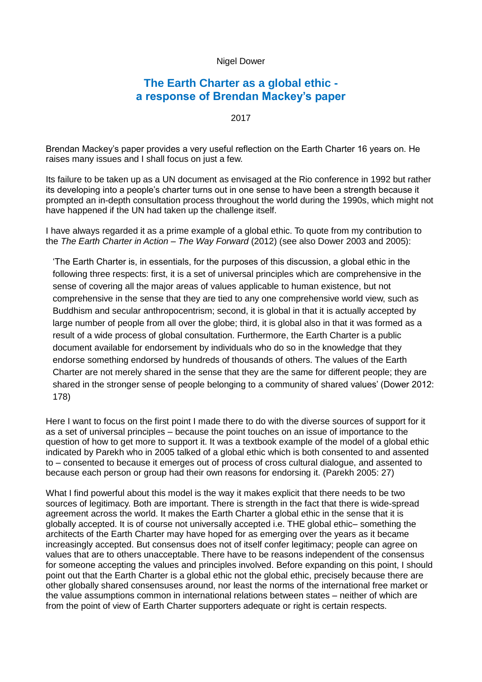## Nigel Dower

## **The Earth Charter as a global ethic a response of Brendan Mackey's paper**

2017

Brendan Mackey's paper provides a very useful reflection on the Earth Charter 16 years on. He raises many issues and I shall focus on just a few.

Its failure to be taken up as a UN document as envisaged at the Rio conference in 1992 but rather its developing into a people's charter turns out in one sense to have been a strength because it prompted an in-depth consultation process throughout the world during the 1990s, which might not have happened if the UN had taken up the challenge itself.

I have always regarded it as a prime example of a global ethic. To quote from my contribution to the *The Earth Charter in Action – The Way Forward* (2012) (see also Dower 2003 and 2005):

'The Earth Charter is, in essentials, for the purposes of this discussion, a global ethic in the following three respects: first, it is a set of universal principles which are comprehensive in the sense of covering all the major areas of values applicable to human existence, but not comprehensive in the sense that they are tied to any one comprehensive world view, such as Buddhism and secular anthropocentrism; second, it is global in that it is actually accepted by large number of people from all over the globe; third, it is global also in that it was formed as a result of a wide process of global consultation. Furthermore, the Earth Charter is a public document available for endorsement by individuals who do so in the knowledge that they endorse something endorsed by hundreds of thousands of others. The values of the Earth Charter are not merely shared in the sense that they are the same for different people; they are shared in the stronger sense of people belonging to a community of shared values' (Dower 2012: 178)

Here I want to focus on the first point I made there to do with the diverse sources of support for it as a set of universal principles – because the point touches on an issue of importance to the question of how to get more to support it. It was a textbook example of the model of a global ethic indicated by Parekh who in 2005 talked of a global ethic which is both consented to and assented to – consented to because it emerges out of process of cross cultural dialogue, and assented to because each person or group had their own reasons for endorsing it. (Parekh 2005: 27)

What I find powerful about this model is the way it makes explicit that there needs to be two sources of legitimacy. Both are important. There is strength in the fact that there is wide-spread agreement across the world. It makes the Earth Charter a global ethic in the sense that it is globally accepted. It is of course not universally accepted i.e. THE global ethic– something the architects of the Earth Charter may have hoped for as emerging over the years as it became increasingly accepted. But consensus does not of itself confer legitimacy; people can agree on values that are to others unacceptable. There have to be reasons independent of the consensus for someone accepting the values and principles involved. Before expanding on this point, I should point out that the Earth Charter is a global ethic not the global ethic, precisely because there are other globally shared consensuses around, nor least the norms of the international free market or the value assumptions common in international relations between states – neither of which are from the point of view of Earth Charter supporters adequate or right is certain respects.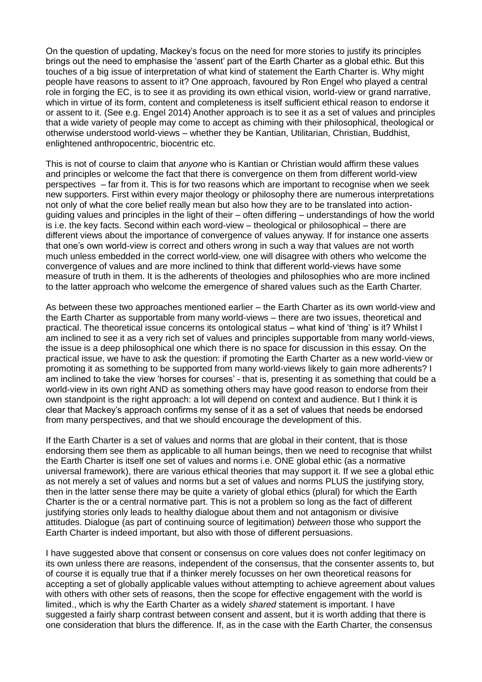On the question of updating, Mackey's focus on the need for more stories to justify its principles brings out the need to emphasise the 'assent' part of the Earth Charter as a global ethic. But this touches of a big issue of interpretation of what kind of statement the Earth Charter is. Why might people have reasons to assent to it? One approach, favoured by Ron Engel who played a central role in forging the EC, is to see it as providing its own ethical vision, world-view or grand narrative, which in virtue of its form, content and completeness is itself sufficient ethical reason to endorse it or assent to it. (See e.g. Engel 2014) Another approach is to see it as a set of values and principles that a wide variety of people may come to accept as chiming with their philosophical, theological or otherwise understood world-views – whether they be Kantian, Utilitarian, Christian, Buddhist, enlightened anthropocentric, biocentric etc.

This is not of course to claim that *anyone* who is Kantian or Christian would affirm these values and principles or welcome the fact that there is convergence on them from different world-view perspectives – far from it. This is for two reasons which are important to recognise when we seek new supporters. First within every major theology or philosophy there are numerous interpretations not only of what the core belief really mean but also how they are to be translated into actionguiding values and principles in the light of their – often differing – understandings of how the world is i.e. the key facts. Second within each word-view – theological or philosophical – there are different views about the importance of convergence of values anyway. If for instance one asserts that one's own world-view is correct and others wrong in such a way that values are not worth much unless embedded in the correct world-view, one will disagree with others who welcome the convergence of values and are more inclined to think that different world-views have some measure of truth in them. It is the adherents of theologies and philosophies who are more inclined to the latter approach who welcome the emergence of shared values such as the Earth Charter.

As between these two approaches mentioned earlier – the Earth Charter as its own world-view and the Earth Charter as supportable from many world-views – there are two issues, theoretical and practical. The theoretical issue concerns its ontological status – what kind of 'thing' is it? Whilst I am inclined to see it as a very rich set of values and principles supportable from many world-views, the issue is a deep philosophical one which there is no space for discussion in this essay. On the practical issue, we have to ask the question: if promoting the Earth Charter as a new world-view or promoting it as something to be supported from many world-views likely to gain more adherents? I am inclined to take the view 'horses for courses' - that is, presenting it as something that could be a world-view in its own right AND as something others may have good reason to endorse from their own standpoint is the right approach: a lot will depend on context and audience. But I think it is clear that Mackey's approach confirms my sense of it as a set of values that needs be endorsed from many perspectives, and that we should encourage the development of this.

If the Earth Charter is a set of values and norms that are global in their content, that is those endorsing them see them as applicable to all human beings, then we need to recognise that whilst the Earth Charter is itself one set of values and norms i.e. ONE global ethic (as a normative universal framework), there are various ethical theories that may support it. If we see a global ethic as not merely a set of values and norms but a set of values and norms PLUS the justifying story, then in the latter sense there may be quite a variety of global ethics (plural) for which the Earth Charter is the or a central normative part. This is not a problem so long as the fact of different justifying stories only leads to healthy dialogue about them and not antagonism or divisive attitudes. Dialogue (as part of continuing source of legitimation) *between* those who support the Earth Charter is indeed important, but also with those of different persuasions.

I have suggested above that consent or consensus on core values does not confer legitimacy on its own unless there are reasons, independent of the consensus, that the consenter assents to, but of course it is equally true that if a thinker merely focusses on her own theoretical reasons for accepting a set of globally applicable values without attempting to achieve agreement about values with others with other sets of reasons, then the scope for effective engagement with the world is limited., which is why the Earth Charter as a widely *shared* statement is important. I have suggested a fairly sharp contrast between consent and assent, but it is worth adding that there is one consideration that blurs the difference. If, as in the case with the Earth Charter, the consensus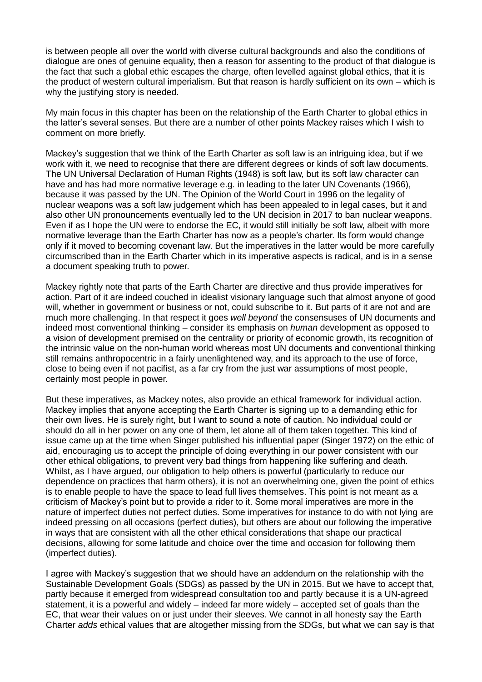is between people all over the world with diverse cultural backgrounds and also the conditions of dialogue are ones of genuine equality, then a reason for assenting to the product of that dialogue is the fact that such a global ethic escapes the charge, often levelled against global ethics, that it is the product of western cultural imperialism. But that reason is hardly sufficient on its own – which is why the justifying story is needed.

My main focus in this chapter has been on the relationship of the Earth Charter to global ethics in the latter's several senses. But there are a number of other points Mackey raises which I wish to comment on more briefly.

Mackey's suggestion that we think of the Earth Charter as soft law is an intriguing idea, but if we work with it, we need to recognise that there are different degrees or kinds of soft law documents. The UN Universal Declaration of Human Rights (1948) is soft law, but its soft law character can have and has had more normative leverage e.g. in leading to the later UN Covenants (1966), because it was passed by the UN. The Opinion of the World Court in 1996 on the legality of nuclear weapons was a soft law judgement which has been appealed to in legal cases, but it and also other UN pronouncements eventually led to the UN decision in 2017 to ban nuclear weapons. Even if as I hope the UN were to endorse the EC, it would still initially be soft law, albeit with more normative leverage than the Earth Charter has now as a people's charter. Its form would change only if it moved to becoming covenant law. But the imperatives in the latter would be more carefully circumscribed than in the Earth Charter which in its imperative aspects is radical, and is in a sense a document speaking truth to power.

Mackey rightly note that parts of the Earth Charter are directive and thus provide imperatives for action. Part of it are indeed couched in idealist visionary language such that almost anyone of good will, whether in government or business or not, could subscribe to it. But parts of it are not and are much more challenging. In that respect it goes *well beyond* the consensuses of UN documents and indeed most conventional thinking – consider its emphasis on *human* development as opposed to a vision of development premised on the centrality or priority of economic growth, its recognition of the intrinsic value on the non-human world whereas most UN documents and conventional thinking still remains anthropocentric in a fairly unenlightened way, and its approach to the use of force, close to being even if not pacifist, as a far cry from the just war assumptions of most people, certainly most people in power.

But these imperatives, as Mackey notes, also provide an ethical framework for individual action. Mackey implies that anyone accepting the Earth Charter is signing up to a demanding ethic for their own lives. He is surely right, but I want to sound a note of caution. No individual could or should do all in her power on any one of them, let alone all of them taken together. This kind of issue came up at the time when Singer published his influential paper (Singer 1972) on the ethic of aid, encouraging us to accept the principle of doing everything in our power consistent with our other ethical obligations, to prevent very bad things from happening like suffering and death. Whilst, as I have argued, our obligation to help others is powerful (particularly to reduce our dependence on practices that harm others), it is not an overwhelming one, given the point of ethics is to enable people to have the space to lead full lives themselves. This point is not meant as a criticism of Mackey's point but to provide a rider to it. Some moral imperatives are more in the nature of imperfect duties not perfect duties. Some imperatives for instance to do with not lying are indeed pressing on all occasions (perfect duties), but others are about our following the imperative in ways that are consistent with all the other ethical considerations that shape our practical decisions, allowing for some latitude and choice over the time and occasion for following them (imperfect duties).

I agree with Mackey's suggestion that we should have an addendum on the relationship with the Sustainable Development Goals (SDGs) as passed by the UN in 2015. But we have to accept that, partly because it emerged from widespread consultation too and partly because it is a UN-agreed statement, it is a powerful and widely – indeed far more widely – accepted set of goals than the EC, that wear their values on or just under their sleeves. We cannot in all honesty say the Earth Charter *adds* ethical values that are altogether missing from the SDGs, but what we can say is that